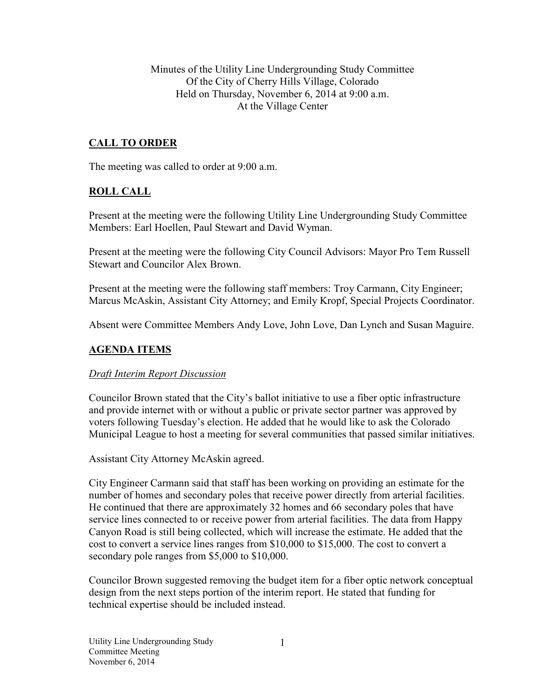Minutes of the Utility Line Undergrounding Study Committee Of the City of Cherry Hills Village, Colorado Held on Thursday, November 6, 2014 at 9:00 a.m. At the Village Center

# **CALL TO ORDER**

The meeting was called to order at 9:00 a.m.

# **ROLL CALL**

Present at the meeting were the following Utility Line Undergrounding Study Committee Members: Earl Hoellen, Paul Stewart and David Wyman.

Present at the meeting were the following City Council Advisors: Mayor Pro Tem Russell Stewart and Councilor Alex Brown.

Present at the meeting were the following staff members: Troy Carmann, City Engineer; Marcus McAskin, Assistant City Attorney; and Emily Kropf, Special Projects Coordinator.

Absent were Committee Members Andy Love, John Love, Dan Lynch and Susan Maguire.

### **AGENDA ITEMS**

#### *Draft Interim Report Discussion*

Councilor Brown stated that the City's ballot initiative to use a fiber optic infrastructure and provide internet with or without a public or private sector partner was approved by voters following Tuesday's election. He added that he would like to ask the Colorado Municipal League to host a meeting for several communities that passed similar initiatives.

Assistant City Attorney McAskin agreed.

City Engineer Carmann said that staff has been working on providing an estimate for the number of homes and secondary poles that receive power directly from arterial facilities. He continued that there are approximately 32 homes and 66 secondary poles that have service lines connected to or receive power from arterial facilities. The data from Happy Canyon Road is still being collected, which will increase the estimate. He added that the cost to convert a service lines ranges from \$10,000 to \$15,000. The cost to convert a secondary pole ranges from \$5,000 to \$10,000.

Councilor Brown suggested removing the budget item for a fiber optic network conceptual design from the next steps portion of the interim report. He stated that funding for technical expertise should be included instead.